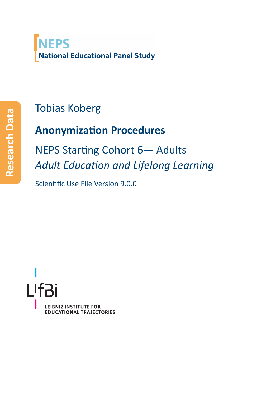# **NEPS National Educational Panel Study**

# Tobias Koberg

# **Anonymization Procedures**

NEPS Starting Cohort 6- Adults *Adult EducaƟon and Lifelong Learning*

Scientific Use File Version 9.0.0

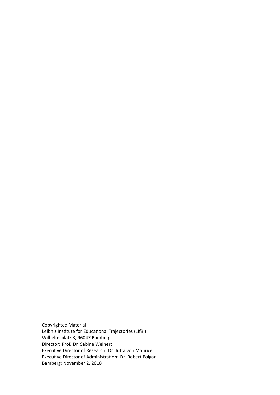Copyrighted Material Leibniz Institute for Educational Trajectories (LIfBi) Wilhelmsplatz 3, 96047 Bamberg Director: Prof. Dr. Sabine Weinert Executive Director of Research: Dr. Jutta von Maurice Executive Director of Administration: Dr. Robert Polgar Bamberg; November 2, 2018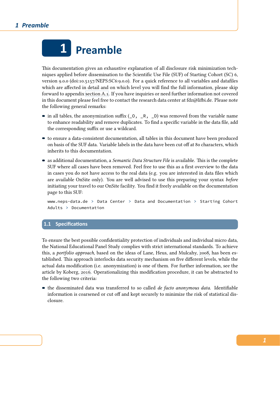

This documentation gives an exhaustive explanation of all disclosure risk minimization techniques applied before dissemination to the Scientific Use File (SUF) of Starting Cohort (SC) 6, version 9.0.0 (doi:10.5157/NEPS:SC6:9.0.0). For a quick reference to all variables and datafiles which are affected in detail and on which level you will find the full information, please skip forward to appendix section A.1. If you have inquiries or need further information not covered in this document please feel free to contact the research data center at fdz@lifbi.de. Please note the following general remarks:

- $\blacksquare$  in all tables, the a[nonymizatio](#page-19-0)n suffix (\_0, \_R, \_D) was removed from the variable name to enhance readability and remove duplicates. To find a specific variable in the data file, add the corresponding suffix or use a wildcard.
- to ensure a data-consistent documentation, all tables in this document have been produced on basis of the SUF data. Variable labels in the data have been cut off at 80 characters, which inherits to this documentation.
- as additional documentation, a *Semantic Data Structure File* is available. This is the complete SUF where all cases have been removed. Feel free to use this as a first overview to the data in cases you do not have access to the real data (e.g. you are interested in data files which are available OnSite only). You are well advised to use this preparing your syntax *before* initiating your travel to our OnSite facility. You find it freely available on the documentation page to this SUF:

www.neps-data.de > Data Center > Data and Documentation > Starting Cohort Adults > Documentation

## **1.1 SpecificaƟons**

To ensure the best possible confidentiality protection of individuals and individual micro data, the National Educational Panel Study complies with strict international standards. To achieve this, a *portfolio approach*, based on the ideas of Lane, Heus, and Mulcahy, 2008, has been established. This approach interlocks data security mechanism on five different levels, while the actual data modification (i.e. anonymization) is one of them. For further information, see the article by Koberg, 2016. Operationalizing this modification procedure, it c[an be](#page-28-0) abstracted to the following two criteria:

the disseminated data was transferred to so called *de facto anonymous data*. Identifiable information isc[oarse](#page-28-1)ned or cut off and kept securely to minimize the risk of statistical disclosure.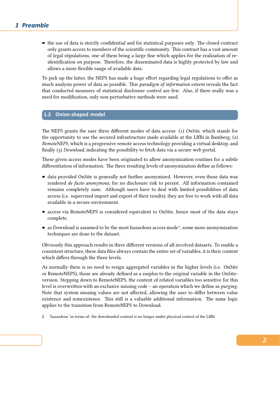the use of data is strictly confidential and for statistical purposes only. The closed contract only grants access to members of the scientific community. This contract has a vast amount of legal stipulations, one of them being a large fine which applies for the realization of reidentification on purpose. Therefore, the disseminated data is highly protected by law and allows a more flexible range of available data.

To pick up the latter, the NEPS has made a huge effort regarding legal regulations to offer as much analysis power of data as possible. This *paradigm of information esteem* reveals the fact that conducted measures of statistical disclosure control are few. Also, if there really was a need for modification, only non-perturbative methods were used.

## **1.2 Onion-shaped model**

The NEPS grants the user three different modes of data access: (1) *OnSite*, which stands for the opportunity to use the secured infrastructure made available at the LIfBi in Bamberg, (2) *RemoteNEPS*, which is a progressive remote access technology providing a virtual desktop, and finally (3) *Download*, indicating the possibility to fetch data via a secure web portal.

These given access modes have been originated to allow anonymization routines for a subtle differentiation of information. The three resulting levels of anonymization define as follows:

- data provided OnSite is generally not further anonymized. However, even those data was rendered *de facto anonymous*, for no disclosure risk to persist. All information contained remains completely sane. Although users have to deal with limited possibilities of data access (i.e. supervised import and export of their results), they are free to work with all data available in a secure environment.
- access via RemoteNEPS is considered equivalent to OnSite, hence most of the data stays complete.
- as Download is assumed to be the most hazardous access mode<sup>1</sup>, some more anonymization techniques are done to the dataset.

Obviously this approach results in three different versions of all involved datasets. To enable a consistent structure, these data files always contain the entire set of variables; it is their content which differs through the three levels.

As normally there is no need to resign aggregated variables in the higher levels (i.e. OnSite or RemoteNEPS), those are already defined as a surplus to the original variable in the OnSiteversion. Stepping down to RemoteNEPS, the content of related variables too sensitive for this level is overwritten with an exclusive missing code – an operation which we define as *purging*. Note that system missing values are not affected, allowing the user to differ between value existence and nonexistence. This still is a valuable additional information. The same logic applies to the transition from RemoteNEPS to Download.

**<sup>1</sup>** 'hazardous' in terms of: the downloaded content is no longer under physical control of the LIfBi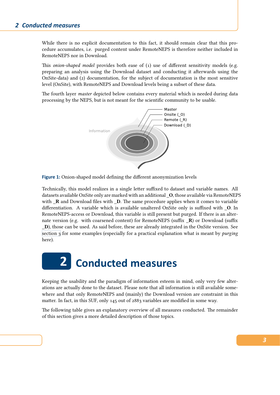While there is no explicit documentation to this fact, it should remain clear that this procedure accumulates, i.e. purged content under RemoteNEPS is therefore neither included in RemoteNEPS nor in Download.

This *onion-shaped model* provides both ease of (1) use of different sensitivity models (e.g. preparing an analysis using the Download dataset and conducting it afterwards using the OnSite-data) and (2) documentation, for the subject of documentation is the most sensitive level (OnSite), with RemoteNEPS and Download levels being a subset of these data.

The fourth layer *master* depicted below contains every material which is needed during data processing by the NEPS, but is not meant for the scientific community to be usable.



**Figure 1:** Onion-shaped model defining the different anonymization levels

Technically, this model realizes in a single letter suffixed to dataset and variable names. All datasets available OnSite only are marked with an additional **\_O**, those available via RemoteNEPS with **\_R** and Download files with **\_D**. The same procedure applies when it comes to variable differentiation. A variable which is available unaltered OnSite only is suffixed with **\_O**. In RemoteNEPS-access or Download, this variable is still present but purged. If there is an alternate version (e.g. with coarsened content) for RemoteNEPS (suffix **\_R**) or Download (suffix **\_D**), those can be used. As said before, these are already integrated in the OnSite version. See section 3 for some examples (especially for a practical explanation what is meant by *purging* here).



Keeping the usability and the paradigm of information esteem in mind, only very few alterations are actually done to the dataset. Please note that all information is still available somewhere and that only RemoteNEPS and (mainly) the Download version are constraint in this matter. In fact, in this SUF, only 145 out of 2883 variables are modified in some way.

The following table gives an explanatory overview of all measures conducted. The remainder of this section gives a more detailed description of those topics.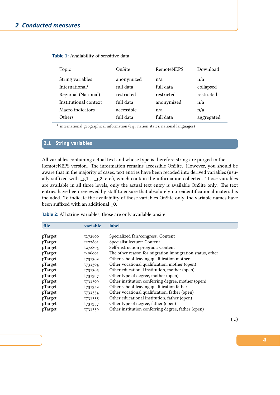| Topic                      | OnSite     | <b>RemoteNEPS</b> | Download   |
|----------------------------|------------|-------------------|------------|
| String variables           | anonymized | n/a               | n/a        |
| International <sup>1</sup> | full data  | full data         | collapsed  |
| Regional (National)        | restricted | restricted        | restricted |
| Institutional context      | full data  | anonymized        | n/a        |
| Macro indicators           | accessible | n/a               | n/a        |
| Others                     | full data  | full data         | aggregated |

**Table 1:** Availability of sensitive data

<sup>1</sup> international geographical information (e.g., nation states, national languages)

## **2.1 String variables**

All variables containing actual text and whose type is therefore string are purged in the RemoteNEPS version. The information remains accessible OnSite. However, you should be aware that in the majority of cases, text entries have been recoded into derived variables (usually suffixed with \_g1, \_g2, etc.), which contain the information collected. Those variables are available in all three levels, only the actual text entry is available OnSite only. The text entries have been reviewed by staff to ensure that absolutely no reidentificational material is included. To indicate the availability of those variables OnSite only, the variable names have been suffixed with an additional \_O.

**Table 2:** All string variables; those are only available onsite

| file    | variable            | label                                                    |
|---------|---------------------|----------------------------------------------------------|
|         |                     |                                                          |
| pTarget | t272800             | Specialized fair/congress: Content                       |
| pTarget | t272801             | Specialist lecture: Content                              |
| pTarget | t272804             | Self-instruction program: Content                        |
| pTarget | t <sub>406001</sub> | The other reason for migration immigration status, other |
| pTarget | t731302             | Other school-leaving qualification mother                |
| pTarget | t731304             | Other vocational qualification, mother (open)            |
| pTarget | t731305             | Other educational institution, mother (open)             |
| pTarget | t731307             | Other type of degree, mother (open)                      |
| pTarget | t731309             | Other institution conferring degree, mother (open)       |
| pTarget | t731352             | Other school-leaving qualification father                |
| pTarget | t731354             | Other vocational qualification, father (open)            |
| pTarget | t731355             | Other educational institution, father (open)             |
| pTarget | t <sub>731357</sub> | Other type of degree, father (open)                      |
| pTarget | t731359             | Other institution conferring degree, father (open)       |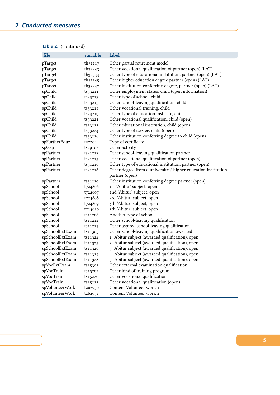| file            | variable            | label                                                         |
|-----------------|---------------------|---------------------------------------------------------------|
| pTarget         | th <sub>32217</sub> | Other partial retirement model                                |
| pTarget         | th <sub>32343</sub> | Other vocational qualification of partner (open) (LAT)        |
| pTarget         | th <sub>32344</sub> | Other type of educational institution, partner (open) (LAT)   |
| pTarget         | th <sub>32345</sub> | Other higher education degree partner (open) (LAT)            |
| pTarget         | th <sub>32347</sub> | Other institution conferring degree, partner (open) (LAT)     |
| spChild         | ts33211             | Other employment status, child (open information)             |
| spChild         | ts33213             | Other type of school, child                                   |
| spChild         | ts33215             | Other school-leaving qualification, child                     |
| spChild         | ts33217             | Other vocational training, child                              |
| spChild         | ts33219             | Other type of education institute, child                      |
| spChild         | ts33221             | Other vocational qualification, child (open)                  |
| spChild         | ts33222             | Other educational institution, child (open)                   |
| spChild         | ts33224             | Other type of degree, child (open)                            |
| spChild         | ts33226             | Other institution conferring degree to child (open)           |
| spFurtherEdu2   | t272044             | Type of certificate                                           |
| spGap           | ts29102             | Other activity                                                |
| spPartner       | ts31213             | Other school-leaving qualification partner                    |
| spPartner       | ts31215             | Other vocational qualification of partner (open)              |
| spPartner       | ts31216             | Other type of educational institution, partner (open)         |
| spPartner       | ts31218             | Other degree from a university / higher education institution |
|                 |                     | partner (open)                                                |
| spPartner       | ts31220             | Other institution conferring degree partner (open)            |
| spSchool        | t724806             | 1st 'Abitur' subject, open                                    |
| spSchool        | t724807             | 2nd 'Abitur' subject, open                                    |
| spSchool        | t724808             | 3rd 'Abitur' subject, open                                    |
| spSchool        | t724809             | 4th 'Abitur' subject, open                                    |
| spSchool        | t724810             | 5th 'Abitur' subject, open                                    |
| spSchool        | ts11206             | Another type of school                                        |
| spSchool        | ts11212             | Other school-leaving qualification                            |
| spSchool        | ts11217             | Other aspired school-leaving qualification                    |
| spSchoolExtExam | ts11305             | Other school-leaving qualification awarded                    |
| spSchoolExtExam | ts11324             | 1. Abitur subject (awarded qualification), open               |
| spSchoolExtExam | ts11325             | 2. Abitur subject (awarded qualification), open               |
| spSchoolExtExam | ts11326             | 3. Abitur subject (awarded qualification), open               |
| spSchoolExtExam | ts11327             | 4. Abitur subject (awarded qualification), open               |
| spSchoolExtExam | ts11328             | 5. Abitur subject (awarded qualification), open               |
| spVocExtExam    | ts15305             | Other external examination qualification                      |
| spVocTrain      | ts15202             | Other kind of training program                                |
| spVocTrain      | ts15220             | Other vocational qualification                                |
| spVocTrain      | ts15222             | Other vocational qualification (open)                         |
| spVolunteerWork | t262950             | Content Volunteer work 1                                      |
| spVolunteerWork | t <sub>262951</sub> | Content Volunteer work 2                                      |

## **Table 2:** (continued)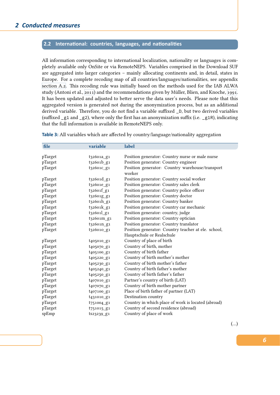## 2.2 International: countries, languages, and nationalities

All information corresponding to international localization, nationality or languages is completely available only OnSite or via RemoteNEPS. Variables comprised in the Download SUF are aggregated into larger categories – mainly allocating continents and, in detail, states in Europe. For a complete recoding map of all countries/languages/nationalities, see appendix section A.2. This recoding rule was initially based on the methods used for the IAB ALWA study (Antoni et al., 2011) and the recommendations given by Müller, Blien, and Knoche, 1991. It has been updated and adjusted to better serve the data user's needs. Please note that this aggregated version is generated not during the anonymization process, but as an additional [derived var](#page-23-0)iable. Therefore, you do not find a variable suffixed \_D, but two derived variables (suffixed  $_g1$  and  $_g2$ [\), w](#page-28-2)here only the first has an anonymization suffix (i.e.  $_g1R$ ), indi[cating](#page-28-3) that the full information is available in RemoteNEPS only.

| file    | variable                           | label                                                     |
|---------|------------------------------------|-----------------------------------------------------------|
|         |                                    |                                                           |
| pTarget | t32601a_g1                         | Position generator: Country nurse or male nurse           |
| pTarget | t32601b_g1                         | Position generator: Country engineer                      |
| pTarget | t32601c_g1                         | Position generator: Country warehouse/transport<br>worker |
| pTarget | $t_3$ 2601 $d$ _g1                 | Position generator: Country social worker                 |
| pTarget | t32601e_g1                         | Position generator: Country sales clerk                   |
| pTarget | t32601f_g1                         | Position generator: Country police officer                |
| pTarget | t32601g_g1                         | Position generator: Country doctor                        |
| pTarget | t32601h_g1                         | Position generator: Country banker                        |
| pTarget | $t_3$ 2601 $k$ _g1                 | Position generator: Country car mechanic                  |
| pTarget | $t_3$ 2601 $l$ g <sub>1</sub>      | Position generator: country, judge                        |
| pTarget | t32601m_g1                         | Position generator: Country optician                      |
| pTarget | t32601n_g1                         | Position generator: Country translator                    |
| pTarget | t326010_g1                         | Position generator: Country teacher at ele. school,       |
|         |                                    | Hauptschule or Realschule                                 |
| pTarget | t <sub>405010</sub> g <sub>1</sub> | Country of place of birth                                 |
| pTarget | t <sub>405070</sub> g <sub>1</sub> | Country of birth, mother                                  |
| pTarget | t405100_g1                         | Country of birth father                                   |
| pTarget | t405220_g1                         | Country of birth mother's mother                          |
| pTarget | t405230_g1                         | Country of birth mother's father                          |
| pTarget | t405240_g1                         | Country of birth father's mother                          |
| pTarget | t <sub>405250</sub> g1             | Country of birth father's father                          |
| pTarget | t407010_g1                         | Partner's country of birth (LAT)                          |
| pTarget | t407070_g1                         | Country of birth mother partner                           |
| pTarget | t407100_g1                         | Place of birth father of partner (LAT)                    |
| pTarget | t <sub>431010</sub> g <sub>1</sub> | Destination country                                       |
| pTarget | t751004_g1                         | Country in which place of work is located (abroad)        |
| pTarget | t751015_g1                         | Country of second residence (abroad)                      |
| spEmp   | ts23239_g1                         | Country of place of work                                  |

**Table 3:** All variables which are affected by country/language/nationality aggregation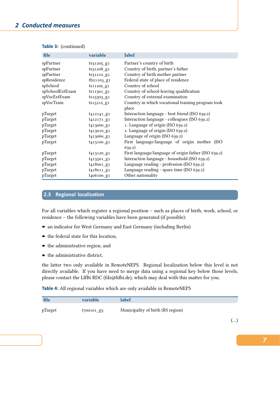| file            | variable                           | label                                                |
|-----------------|------------------------------------|------------------------------------------------------|
| spPartner       | $ts31205$ g1                       | Partner's country of birth                           |
| spPartner       | ts31208_g1                         | Country of birth, partner's father                   |
| spPartner       | ts31210_g1                         | Country of birth mother partner                      |
| spResidence     | $th21103_g1$                       | Federal state of place of residence                  |
| spSchool        | $ts1120s_g1$                       | Country of school                                    |
| spSchoolExtExam | ts11301_g1                         | Country of school-leaving qualification              |
| spVocExtExam    | ts15303_g1                         | Country of external examination                      |
| spVocTrain      | $ts1521s$ g1                       | Country in which vocational training program took    |
|                 |                                    | place                                                |
| pTarget         | $t_{4}$ 12141_g <sub>1</sub>       | Interaction language - best friend (ISO 639.2)       |
| pTarget         | $t_{4}$ 12171_g <sub>1</sub>       | Interaction language - colleagues (ISO 639.2)        |
| pTarget         | t413000_g1                         | 1. Language of origin (ISO 639.2)                    |
| pTarget         | t <sub>413010</sub> g <sub>1</sub> | 2. Language of origin (ISO 639.2)                    |
| pTarget         | t413060_g1                         | Language of origin (ISO 639.2)                       |
| pTarget         | t <sub>413100</sub> g <sub>1</sub> | First language/language of origin mother (ISO        |
|                 |                                    | 639.2)                                               |
| pTarget         | t <sub>413120</sub> g1             | First language/language of origin father (ISO 639.2) |
| pTarget         | t <sub>413501</sub> g1             | Interaction language - household (ISO 639.2)         |
| pTarget         | t <sub>418001</sub> g1             | Language reading - profession (ISO 639.2)            |
| pTarget         | t418011_g1                         | Language reading - spare time (ISO 639.2)            |
| pTarget         | t406100_g1                         | Other nationality                                    |

## **Table 3:** (continued)

## <span id="page-8-0"></span>**2.3 Regional localization**

For all variables which register a regional position – such as places of birth, work, school, or residence – the following variables have been generated (if possible):

- an indicator for West Germany and East Germany (including Berlin)
- $\blacksquare$  the federal state for this location,
- $\blacksquare$  the administrative region, and
- $\blacksquare$  the administrative district,

the latter two only available in RemoteNEPS. Regional localization below this level is not directly available. If you have need to merge data using a regional key below those levels, please contact the LIfBi RDC (fdz@lifbi.de), which may deal with this matter for you.

**Table 4:** All regional variables which are only available in RemoteNEPS

| file    | variable                 | label                             |
|---------|--------------------------|-----------------------------------|
| pTarget | $1700101$ g <sub>3</sub> | Municipality of birth (RS region) |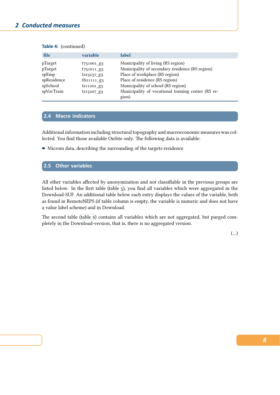## *2 Conducted measures*

## **Table 4:** (continued)

| file                                                                 | variable                                                                                                        | label                                                                                                                                                                                                                                                 |
|----------------------------------------------------------------------|-----------------------------------------------------------------------------------------------------------------|-------------------------------------------------------------------------------------------------------------------------------------------------------------------------------------------------------------------------------------------------------|
| pTarget<br>pTarget<br>spEmp<br>spResidence<br>spSchool<br>spVocTrain | t751001 g3<br>$t751011$ g3<br>$ts23237$ g <sub>3</sub><br>th <sub>21111</sub> $g_3$<br>ts11202 g3<br>ts15207_g3 | Municipality of living (RS region)<br>Municipality of secondary residence (RS region)<br>Place of workplace (RS region)<br>Place of residence (RS region)<br>Municipality of school (RS region)<br>Municipality of vocational training center (RS re- |
|                                                                      |                                                                                                                 | gion)                                                                                                                                                                                                                                                 |

## **2.4 Macro indicators**

Additional information including structural topography and macroeconomic measures was collected. You find those available OnSite only. The following data is available:

Microm data, describing the surrounding of the targets residence

## **2.5 Other variables**

All other variables affected by anonymization and not classifiable in the previous groups are listed below. In the first table (table 5), you find all variables which were aggregated in the Download-SUF. An additional table below each entry displays the values of the variable, both as found in RemoteNEPS (if table column is empty, the variable is numeric and does not have a value label scheme) and in Do[wnload](#page-10-0).

The second table (table 6) contains all variables which are not aggregated, but purged completely in the Download-version, that is, there is no aggregated version.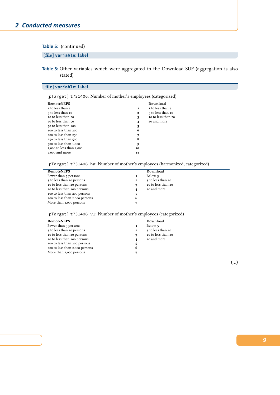## **Table 5:** (continued)

## **[file] variable: label**

<span id="page-10-0"></span>**Table 5:** Other variables which were aggregated in the Download-SUF (aggregation is also stated)

## **[file] variable: label**

[pTarget] t731406: Number of mother's employees (categorized)

| <b>RemoteNEPS</b>        |    | Download           |
|--------------------------|----|--------------------|
| 1 to less than 5         | 1  | 1 to less than 5   |
| 5 to less than 10        | 2  | 5 to less than 10  |
| 10 to less than 20       | 3  | 10 to less than 20 |
| 20 to less than 50       | 4  | 20 and more        |
| 50 to less than 100      | 5  |                    |
| 100 to less than 200     | 6  |                    |
| 200 to less than 250     |    |                    |
| 250 to less than 500     | 8  |                    |
| 500 to less than 1.000   | 9  |                    |
| 1,000 to less than 2,000 | 10 |                    |
| 2,000 and more           | 11 |                    |

[pTarget] t731406\_ha: Number of mother's employees (harmonized, categorized)

| <b>RemoteNEPS</b>              | Download                          |
|--------------------------------|-----------------------------------|
| Fewer than 5 persons           | Below 5                           |
| 5 to less than 10 persons      | 5 to less than 10<br>$\mathbf{2}$ |
| 10 to less than 20 persons     | 10 to less than 20                |
| 20 to less than 100 persons    | 20 and more                       |
| 100 to less than 200 persons   | 5                                 |
| 200 to less than 2.000 persons | 6                                 |
| More than 2,000 persons        |                                   |

[pTarget] t731406\_v1: Number of mother's employees (categorized)

| <b>RemoteNEPS</b>              |   | Download           |  |
|--------------------------------|---|--------------------|--|
| Fewer than 5 persons           | 1 | Below 5            |  |
| 5 to less than 10 persons      | 2 | 5 to less than 10  |  |
| 10 to less than 20 persons     | 3 | 10 to less than 20 |  |
| 20 to less than 100 persons    | 4 | 20 and more        |  |
| 100 to less than 200 persons   | 5 |                    |  |
| 200 to less than 2.000 persons | 6 |                    |  |
| More than 2,000 persons        |   |                    |  |
|                                |   |                    |  |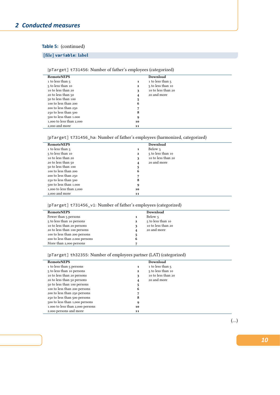## **Table 5:** (continued)

## **[file] variable: label**

| <b>RemoteNEPS</b>        |              | Download           |
|--------------------------|--------------|--------------------|
| 1 to less than 5         | $\mathbf{1}$ | 1 to less than 5   |
| 5 to less than 10        | $\mathbf{2}$ | 5 to less than 10  |
| 10 to less than 20       | 3            | 10 to less than 20 |
| 20 to less than 50       | 4            | 20 and more        |
| 50 to less than 100      | 5            |                    |
| 100 to less than 200     | 6            |                    |
| 200 to less than 250     |              |                    |
| 250 to less than 500     | 8            |                    |
| 500 to less than 1.000   | 9            |                    |
| 1,000 to less than 2,000 | 10           |                    |
| 2,000 and more           | 11           |                    |

## [pTarget] t731456: Number of father's employees (categorized)

## [pTarget] t731456\_ha: Number of father's employees (harmonized, categorized)

| <b>RemoteNEPS</b>        |                         | Download           |
|--------------------------|-------------------------|--------------------|
| 1 to less than 5         | 1                       | Below 5            |
| 5 to less than 10        | $\mathbf{2}$            | 5 to less than 10  |
| 10 to less than 20       | 3                       | 10 to less than 20 |
| 20 to less than 50       | $\overline{\mathbf{4}}$ | 20 and more        |
| 50 to less than 100      | 5                       |                    |
| 100 to less than 200     | 6                       |                    |
| 200 to less than 250     | 7                       |                    |
| 250 to less than 500     | 8                       |                    |
| 500 to less than 1.000   | 9                       |                    |
| 1,000 to less than 2,000 | 10                      |                    |
| 2,000 and more           | 11                      |                    |
|                          |                         |                    |

## [pTarget] t731456\_v1: Number of father's employees (categorized)

| <b>RemoteNEPS</b>              |              | Download           |
|--------------------------------|--------------|--------------------|
| Fewer than 5 persons           |              | Below 5            |
| 5 to less than 10 persons      | $\mathbf{2}$ | 5 to less than 10  |
| to to less than 20 persons     |              | 10 to less than 20 |
| 20 to less than 100 persons    | 4            | 20 and more        |
| 100 to less than 200 persons   | 5            |                    |
| 200 to less than 2.000 persons | 6            |                    |
| More than 2,000 persons        |              |                    |

## [pTarget] th32355: Number of employees partner (LAT) (categorized)

| <b>RemoteNEPS</b>                |              | Download           |
|----------------------------------|--------------|--------------------|
| 1 to less than 5 persons         | 1            | 1 to less than 5   |
| 5 to less than 10 persons        | $\mathbf{2}$ | 5 to less than 10  |
| 10 to less than 20 persons       | 3            | 10 to less than 20 |
| 20 to less than 50 persons       | 4            | 20 and more        |
| 50 to less than 100 persons      | 5            |                    |
| 100 to less than 200 persons     | 6            |                    |
| 200 to less than 250 persons     | 7            |                    |
| 250 to less than 500 persons     | 8            |                    |
| 500 to less than 1,000 persons   | 9            |                    |
| 1.000 to less than 2,000 persons | 10           |                    |
| 2.000 persons and more           | 11           |                    |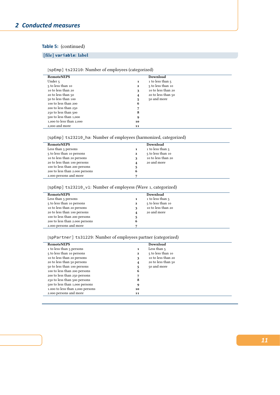## **Table 5:** (continued)

## **[file] variable: label**

## [spEmp] ts23210: Number of employees (categorized)

| <b>RemoteNEPS</b>        |    | Download           |
|--------------------------|----|--------------------|
| Under 5                  | 1  | 1 to less than 5   |
| 5 to less than 10        | 2  | 5 to less than 10  |
| 10 to less than 20       | 3  | 10 to less than 20 |
| 20 to less than 50       | 4  | 20 to less than 50 |
| 50 to less than 100      | 5  | 50 and more        |
| 100 to less than 200     | 6  |                    |
| 200 to less than 250     |    |                    |
| 250 to less than 500     | 8  |                    |
| 500 to less than 1,000   | 9  |                    |
| 1,000 to less than 2,000 | 10 |                    |
| 2,000 and more           | 11 |                    |

## [spEmp] ts23210\_ha: Number of employees (harmonized, categorized)

| <b>RemoteNEPS</b>              |              | Download           |
|--------------------------------|--------------|--------------------|
| Less than 5 persons            |              | 1 to less than 5   |
| 5 to less than 10 persons      | $\mathbf{2}$ | 5 to less than 10  |
| to to less than 20 persons     | 3            | 10 to less than 20 |
| 20 to less than 100 persons    | 4            | 20 and more        |
| 100 to less than 200 persons   | 5            |                    |
| 200 to less than 2.000 persons | 6            |                    |
| 2.000 persons and more         | 7            |                    |

## [SpEmp] ts23210\_v1: Number of employess (Wave 1, categorized)

| <b>RemoteNEPS</b>              |              | Download           |
|--------------------------------|--------------|--------------------|
| Less than 5 persons            | 1            | 1 to less than 5   |
| 5 to less than 10 persons      | $\mathbf{2}$ | 5 to less than 10  |
| 10 to less than 20 persons     | 3            | 10 to less than 20 |
| 20 to less than 100 persons    | 4            | 20 and more        |
| 100 to less than 200 persons   | 5            |                    |
| 200 to less than 2.000 persons | 6            |                    |
| 2.000 persons and more         | 7            |                    |

## [spPartner] ts31229: Number of employees partner (categorized)

| <b>RemoteNEPS</b>                |              | Download                |  |
|----------------------------------|--------------|-------------------------|--|
| 1 to less than 5 persons         | 1            | Less than $\frac{1}{2}$ |  |
| 5 to less than 10 persons        | $\mathbf{2}$ | 5 to less than 10       |  |
| 10 to less than 20 persons       | 3            | 10 to less than 20      |  |
| 20 to less than 50 persons       | 4            | 20 to less than 50      |  |
| 50 to less than 100 persons      | 5            | 50 and more             |  |
| 100 to less than 200 persons     | 6            |                         |  |
| 200 to less than 250 persons     |              |                         |  |
| 250 to less than 500 persons     | 8            |                         |  |
| 500 to less than 1,000 persons   | 9            |                         |  |
| 1.000 to less than 2,000 persons | 10           |                         |  |
| 2.000 persons and more           | 11           |                         |  |
|                                  |              |                         |  |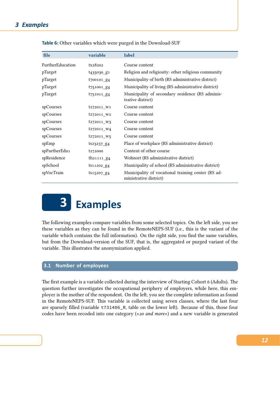| file             | variable                          | label                                                                        |
|------------------|-----------------------------------|------------------------------------------------------------------------------|
| FurtherEducation | tx28202                           | Course content                                                               |
| pTarget          | t <sub>435030</sub> g1            | Religion and religiosity: other religious community                          |
| pTarget          | t700101_g4                        | Municipality of birth (RS administrative district)                           |
| pTarget          | $t751001$ g <sub>4</sub>          | Municipality of living (RS administrative district)                          |
| pTarget          | $t751011$ g <sub>4</sub>          | Municipality of secondary residence (RS adminis-<br>trative district)        |
| spCourses        | $t_{272011}$ W <sub>1</sub>       | Course content                                                               |
| spCourses        | t272011_W2                        | Course content                                                               |
| spCourses        | $t_{272011}$ W <sub>3</sub>       | Course content                                                               |
| spCourses        | $t_{272011}$ W4                   | Course content                                                               |
| spCourses        | $t_{272011}$ w5                   | Course content                                                               |
| spEmp            | $ts23237_g4$                      | Place of workplace (RS administrative district)                              |
| spFurtherEdu1    | t <sub>272000</sub>               | Content of other course                                                      |
| spResidence      | th <sub>21111_g<sub>4</sub></sub> | Wohnort (RS administrative district)                                         |
| spSchool         | ts11202_g4                        | Municipality of school (RS administrative district)                          |
| spVocTrain       | $ts15207_g4$                      | Municipality of vocational training center (RS ad-<br>ministrative district) |

**Table 6:** Other variables which were purged in the Download-SUF

<span id="page-13-0"></span>

The following examples compare variables from some selected topics. On the left side, you see these variables as they can be found in the RemoteNEPS-SUF (i.e., this is the variant of the variable which contains the full information). On the right side, you find the same variables, but from the Download-version of the SUF, that is, the aggregated or purged variant of the variable. This illustrates the anonymization applied.

## **3.1 Number of employees**

The first example is a variable collected during the interview of Starting Cohort 6 (Adults). The question further investigates the occupational periphery of employers, while here, this employer is the mother of the respondent. On the left, you see the complete information as found in the RemoteNEPS-SUF. This variable is collected using seven classes, where the last four are sparsely filled (variable t731406\_R, table on the lower left). Because of this, those four codes have been recoded into one category (»*20 and more*«) and a new variable is generated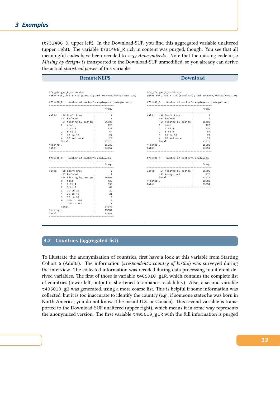Ī

(t731406\_D, upper left). In the Download-SUF, you find this aggregated variable unaltered (upper right). The variable t731406\_R rich in content was purged, though. You see that all meaningful codes have been recoded to »*-53 Anonymized*«. Note that the missing code »*-54 Missing by design*« is transported to the Download-SUF unmodified, so you already can derive the actual *statistical power* of this variable.

|                    | <b>RemoteNEPS</b>                                                                                                                                                                                                                           |                                                                                                                                 |                                                                                                                                                                                                                             | <b>Download</b>                                                                             |
|--------------------|---------------------------------------------------------------------------------------------------------------------------------------------------------------------------------------------------------------------------------------------|---------------------------------------------------------------------------------------------------------------------------------|-----------------------------------------------------------------------------------------------------------------------------------------------------------------------------------------------------------------------------|---------------------------------------------------------------------------------------------|
|                    | SC6_pTarget_R_5-1-0.dta                                                                                                                                                                                                                     | (NEPS SUF, SC6 5.1.0 (remote); doi:10.5157/NEPS:SC6:5.1.0)                                                                      | SC6_pTarget_D_5-1-0.dta<br>(NEPS SUF, SC6 5.1.0 (download); doi:10.5157/NEPS:SC6:5.1.0)                                                                                                                                     |                                                                                             |
|                    | t731406_D -- Number of mother's employees (categorized)                                                                                                                                                                                     |                                                                                                                                 | t731406_D -- Number of mother's employees (categorized)                                                                                                                                                                     |                                                                                             |
|                    |                                                                                                                                                                                                                                             | Freq.                                                                                                                           |                                                                                                                                                                                                                             | Freq.                                                                                       |
| Missing .<br>Total | Valid -98 Don't know<br>-97 Refused<br>-54 Missing by design   36700<br>0 none<br>$1 \quad 1$ to 4<br>$25$ to 9<br>3 10 to 19<br>4 20 and more<br>Total<br>t731406 R -- Number of mother's employees                                        | $\overline{7}$<br>$\mathbf{1}$<br>423<br>330<br>64<br>22<br>28<br>37575<br>15982<br>53557                                       | Valid -98 Don't know<br>-97 Refused<br>-54 Missing by design   36700<br>0 none<br>$1 \quad 1$ to $4$<br>2 5 to 9<br>3 10 to 19<br>4 20 and more<br>Total<br>Missing .<br>Total<br>t731406 R -- Number of mother's employees | $\overline{7}$<br>$\overline{1}$<br>423<br>330<br>64<br>22<br>28<br>37575<br>15982<br>53557 |
|                    |                                                                                                                                                                                                                                             | Freq.                                                                                                                           |                                                                                                                                                                                                                             | Freq.                                                                                       |
|                    | Valid -98 Don't know<br>-97 Refused<br>-54 Missing by design   36700<br>0 None<br>$1 \quad 1$ to 4<br>5 to 9<br>$\overline{2}$<br>10 to 19<br>3<br>20 to 49<br>$\overline{4}$<br>50 to 99<br>5<br>6 100 to 199<br>200 to 249<br>$7^{\circ}$ | $\overline{7}$<br>$\mathbf{1}$<br>423<br>330<br>64<br>22<br>21<br>$_{3}$<br>$\overline{\mathbf{3}}$<br>$\overline{\phantom{0}}$ | Valid -54 Missing by design   36700<br>-53 Anonymized  <br>Total<br>Missing .<br>Total                                                                                                                                      | 875<br>37575<br>15982<br>53557                                                              |

## **3.2 Countries (aggregated list)**

To illustrate the anonymization of countries, first have a look at this variable from Starting Cohort 6 (Adults). The information (»*respondent's country of birth*«) was surveyed during the interview. The collected information was recoded during data processing to different derived variables. The first of those is variable t405010\_g1R, which contains the complete list of countries (lower left, output is shortened to enhance readability). Also, a second variable t405010\_g2 was generated, using a more coarse list. This is helpful if some information was collected, but it is too inaccurate to identify the country (e.g., if someone states he was born in North America, you do not know if he meant U.S. or Canada). This second variable is transported to the Download-SUF unaltered (upper right), which means it in some way represents the anonymized version. The first variable t405010\_g1R with the full information is purged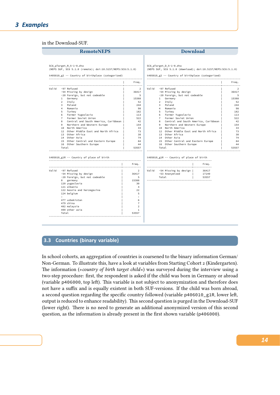## *3 Examples*

### in the Download-SUF.

| <b>RemoteNEPS</b>                                                                                                                                                                                                                                                                                                                                                                                                                                                                                                                                           |                                                                                                                                        | <b>Download</b> |                                                                                                                                                                                                                                                                                                                                                                                                                                                                                                                                                                                                |                                      |                                                                                                                            |
|-------------------------------------------------------------------------------------------------------------------------------------------------------------------------------------------------------------------------------------------------------------------------------------------------------------------------------------------------------------------------------------------------------------------------------------------------------------------------------------------------------------------------------------------------------------|----------------------------------------------------------------------------------------------------------------------------------------|-----------------|------------------------------------------------------------------------------------------------------------------------------------------------------------------------------------------------------------------------------------------------------------------------------------------------------------------------------------------------------------------------------------------------------------------------------------------------------------------------------------------------------------------------------------------------------------------------------------------------|--------------------------------------|----------------------------------------------------------------------------------------------------------------------------|
| SC6_pTarget_R_5-1-0.dta<br>(NEPS SUF, SC6 5.1.0 (remote); doi:10.5157/NEPS:SC6:5.1.0)<br>t405010_g2 -- Country of birthplace (categorized)                                                                                                                                                                                                                                                                                                                                                                                                                  |                                                                                                                                        |                 | SC6_pTarget_D_5-1-0.dta<br>(NEPS SUF, SC6 5.1.0 (download); doi:10.5157/NEPS:SC6:5.1.0)<br>t405010_g2 -- Country of birthplace (categorized)                                                                                                                                                                                                                                                                                                                                                                                                                                                   |                                      |                                                                                                                            |
|                                                                                                                                                                                                                                                                                                                                                                                                                                                                                                                                                             | Freq.                                                                                                                                  |                 |                                                                                                                                                                                                                                                                                                                                                                                                                                                                                                                                                                                                |                                      | Freq.                                                                                                                      |
| Valid -97 Refused<br>-54 Missing by design<br>-20 Foreign, but not codeable<br>Germany<br>$\mathbf{1}$<br>2<br>Italy<br>Poland<br>3<br>$\overline{4}$<br>Romania<br>5<br>Turkey<br>Former Yugoslavia<br>6<br>Former Soviet Union<br>$7^{\circ}$<br>Central and South America, Caribbean  <br>8<br>Northern and Western Europe<br>9<br>10 North America<br>12 Other Middle East and North Africa<br>13 Other Africa<br>14 Other Asia<br>15 Other Central and Eastern Europe<br>16 Other Southern Europe<br>Total<br>t405010_g1R -- Country of place of birth | 2<br>36417<br>5<br>15388<br>52<br>244<br>98<br>182<br>113<br>522<br>42<br>154<br>33<br>73<br>30<br>74<br>84<br>44<br>53557             |                 | Valid -97 Refused<br>-54 Missing by design<br>-20 Foreign, but not codeable<br>Germany<br>$\mathbf{1}$<br>$\overline{2}$<br>Italy<br>Poland<br>$\mathbf{3}$<br>$\overline{4}$<br>Romania<br>5 <sup>1</sup><br>Turkey<br>Former Yugoslavia<br>6<br>$7^{\circ}$<br>Former Soviet Union<br>8<br>Northern and Western Europe<br>9<br>10 North America<br>12 Other Middle East and North Africa<br>13 Other Africa<br>14 Other Asia<br>15 Other Central and Eastern Europe<br>16 Other Southern Europe<br>Total<br>t405010_g1R -- Country of place of birth<br>------------------------------------ | Central and South America, Caribbean | 2<br>36417<br>5<br>15388<br>52<br>244<br>98<br>182<br>113<br>522<br>42<br>154<br>33<br>73<br>30<br>74<br>84<br>44<br>53557 |
| Valid -97 Refused<br>-54 Missing by design<br>-20 Foreign, but not codeable<br>0 germany<br>120 yugoslavia<br>121 albania<br>122 bosnia and herzegovina<br>124 belgium<br>$\ddot{\phantom{a}}$<br>477 uzbekistan<br>479 china<br>482 malaysia<br>499 other asia<br>Total                                                                                                                                                                                                                                                                                    | Freq.<br>2<br>36417<br>5<br>15388<br>30<br>4<br>22<br>5<br>$\ddot{\phantom{a}}$<br>6<br>$\overline{7}$<br>$\overline{2}$<br>1<br>53557 |                 | Valid -54 Missing by design  <br>-53 Anonymized<br>$\sim$ 1.<br>Total                                                                                                                                                                                                                                                                                                                                                                                                                                                                                                                          | Freq.<br>36417<br>17140<br>53557     |                                                                                                                            |

## **3.3 Countries (binary variable)**

In school cohorts, an aggregation of countries is coarsened to the binary information German/ Non-German. To illustrate this, have a look at variables from Starting Cohort 2 (Kindergarten). The information (»*country of birth target child*«) was surveyed during the interview using a two-step procedure: first, the respondent is asked if the child was born in Germany or abroad (variable p406000, top left). This variable is not subject to anonymization and therefore does not have a suffix and is equally existent in both SUF-versions. If the child was born abroad, a second question regarding the specific country followed (variable p406010\_g1R, lower left, output is reduced to enhance readability). This second question is purged in the Download-SUF (lower right). There is no need to generate an additional anonymized version of this second question, as the information is already present in the first shown variable (p406000).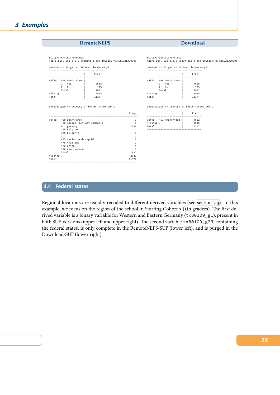| <b>RemoteNEPS</b>                                                                                             |                                                            |       |                                                                                                               | <b>Download</b>                                              |
|---------------------------------------------------------------------------------------------------------------|------------------------------------------------------------|-------|---------------------------------------------------------------------------------------------------------------|--------------------------------------------------------------|
| SC2 pParent R 3-0-0.dta<br>p406000 -- Target child born in Germany?<br>-------------------------------------- | (NEPS SUF, SC2 3.0.0 (remote); doi:10.5157/NEPS:SC2:3.0.0) |       | SC2 pParent D 3-0-0.dta<br>p406000 -- Target child born in Germany?<br>-------------------------------------- | (NEPS SUF, SC2 3.0.0 (download); doi:10.5157/NEPS:SC2:3.0.0) |
| ------------------------------------                                                                          | Freq.                                                      |       | --------------------------------------                                                                        | Freq.                                                        |
| Valid -98 Don't know  <br>1 Yes  <br>$2 \quad$ No $\quad$  <br>Total<br>Missing .                             | $\overline{\phantom{0}}$<br>7658<br>173<br>7832<br>3545    |       | Valid -98 Don't know  <br>1 Yes I<br>$2$ No $2$<br>Total Show<br>Missing .                                    | $\overline{1}$<br>7658<br>173<br>7832<br>3545                |
| Total<br>------------------------------------<br>p406010_g1R -- Country of birth target child                 | 11377                                                      | Freq. | Total<br>p406010_g1R -- Country of birth target child<br>-------------------------------------                | 11377<br><b>Example 19</b> Freq.                             |

## **3.4 Federal states**

Regional locations are usually recoded to different derived variables (see section 2.3). In this example, we focus on the region of the school in Starting Cohort 3 (5th graders). The first derived variable is a binary variable for Western and Eastern Germany (tx80109\_g1), present in both SUF-versions (upper left and upper right). The second variable tx80109\_g2R, containing the federal states, is only complete in the RemoteNEPS-SUF (lower left), [and is purg](#page-8-0)ed in the Download-SUF (lower right).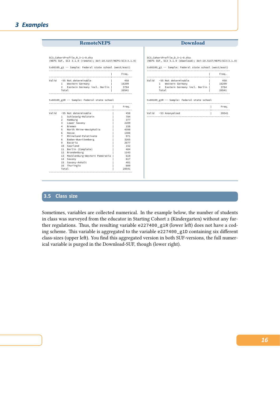## **RemoteNEPS Download**

SC3\_CohortProfile\_R\_3-1-0.dta (NEPS SUF, SC3 3.1.0 (remote); doi:10.5157/NEPS:SC3:3.1.0)

tx80109\_g1 -- Sample: Federal state school (west/east)

|       |                                                               | Freq.                |
|-------|---------------------------------------------------------------|----------------------|
| Valid | -55 Not determinable<br>Western Germany<br>1<br>$\mathcal{P}$ | 458<br>16299<br>3784 |
|       | Eastern Germany incl. Berlin<br>Total                         | 20541                |

tx80109\_g2R -- Sample: Federal state school

|       |                 |                               | Freq. |
|-------|-----------------|-------------------------------|-------|
| Valid |                 | -55 Not determinable          | 458   |
|       | 1               | Schleswig-Holstein            | 784   |
|       | $\mathcal{P}$   | Hamburg                       | 377   |
|       | 3               | Lower Saxony                  | 2209  |
|       | 4               | Bremen                        | 158   |
|       | 5               | North Rhine-Westphalia        | 4398  |
|       | 6               | Hesse                         | 1308  |
|       | $\overline{7}$  | Rhineland-Palatinate          | 971   |
|       | 8               | Baden-Wuerttemberg            | 3265  |
|       | 9               | Bavaria                       | 2677  |
|       | 10              | Saarland                      | 152   |
|       | 11              | Berlin (Complete)             | 404   |
|       | 12 <sup>2</sup> | Brandenburg                   | 1143  |
|       | 13              | Mecklenburg-Western Pomerania | 619   |
|       | 14              | Saxony                        | 617   |
|       | 15              | Saxony-Anhalt                 | 401   |
|       | 16              | Thuringia                     | 600   |
|       | Total           |                               | 20541 |

SC3\_CohortProfile\_D\_3-1-0.dta (NEPS SUF, SC3 3.1.0 (download); doi:10.5157/NEPS:SC3:3.1.0)

tx80109\_g1 -- Sample: Federal state school (west/east)

|                                                                                                                    | Frea.                         |
|--------------------------------------------------------------------------------------------------------------------|-------------------------------|
| -55 Not determinable<br><b>hifs</b><br>Western Germany<br>Eastern Germany incl. Berlin  <br>$\mathcal{P}$<br>Total | 458<br>16299<br>3784<br>20541 |

tx80109\_g2R -- Sample: Federal state school

|                      | Freq. |
|----------------------|-------|
|                      |       |
| Valid -53 Anonymized | 20541 |
|                      |       |

## **3.5 Class size**

Sometimes, variables are collected numerical. In the example below, the number of students in class was surveyed from the educator in Starting Cohort 2 (Kindergarten) without any further regulations. Thus, the resulting variable e227400\_g1R (lower left) does not have a coding scheme. This variable is aggregated to the variable e227400\_g1D containing six different class-sizes (upper left). You find this aggregated version in both SUF-versions, the full numerical variable is purged in the Download-SUF, though (lower right).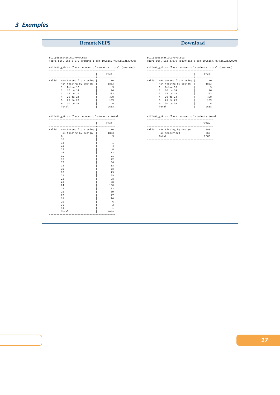## *3 Examples*

## **RemoteNEPS Download**

SC2\_pEducator\_R\_3-0-0.dta (NEPS SUF, SC2 3.0.0 (remote); doi:10.5157/NEPS:SC2:3.0.0)

e227400\_g1D -- Class: number of students, total (coarsed)

|       |               |                        | Freq. |
|-------|---------------|------------------------|-------|
| Valid |               | -90 Unspecific missing | 10    |
|       |               | -54 Missing by design  | 1803  |
|       | п.            | Below 10               | 3     |
|       | $\mathcal{P}$ | $10$ to $14$           | 26    |
|       | 3             | 15 to 19               | 203   |
|       | 4             | 20 to 24               | 450   |
|       | 5             | 25 to 29               | 169   |
|       | 6             | 30 to 34               | 4     |
|       | Total         |                        | 2668  |

## e227400\_g1R -- Class: number of students total --------------------------------------------

|       |                        | Freq.          |
|-------|------------------------|----------------|
| Valid | -90 Unspecific missing | 10             |
|       | -54 Missing by design  | 1803           |
|       | 8                      | 3              |
|       | 10                     | $\mathbf{1}$   |
|       | 11                     | $\mathbf{1}$   |
|       | 12                     | $\overline{4}$ |
|       | 13                     | 8              |
|       | 14                     | 12             |
|       | 15                     | 21             |
|       | 16                     | 22             |
|       | 17                     | 34             |
|       | 18                     | 58             |
|       | 19                     | 68             |
|       | 20                     | 75             |
|       | 21                     | 89             |
|       | 22                     | 98             |
|       | 23                     | 88             |
|       | 24                     | 100            |
|       | 25                     | 83             |
|       | 26                     | 39             |
|       | 27                     | 27             |
|       | 28                     | 14             |
|       | 29                     | 6              |
|       | 30                     | 3              |
|       | 31                     | $\mathbf{1}$   |
|       | Total                  | 2668           |

SC2\_pEducator\_D\_3-0-0.dta (NEPS SUF, SC2 3.0.0 (download); doi:10.5157/NEPS:SC2:3.0.0)

e227400\_g1D -- Class: number of students, total (coarsed)

|       |                                        |                                                                                                                           | Freq.                                      |
|-------|----------------------------------------|---------------------------------------------------------------------------------------------------------------------------|--------------------------------------------|
| Valid | 1<br>$\mathcal{P}$<br>3<br>4<br>5<br>6 | -90 Unspecific missing  <br>-54 Missing by design<br>Below 10<br>10 to 14<br>15 to 19<br>20 to 24<br>25 to 29<br>30 to 34 | 10<br>1803<br>3<br>26<br>203<br>450<br>169 |
|       | Total                                  |                                                                                                                           | 2668                                       |
|       |                                        |                                                                                                                           |                                            |

e227400\_g1R -- Class: number of students total --------------------------------------------

|       |                                                  | Freq.               |
|-------|--------------------------------------------------|---------------------|
| Valid | -54 Missing by design<br>-53 Anonymized<br>Total | 1803<br>865<br>2668 |
|       |                                                  |                     |

*17*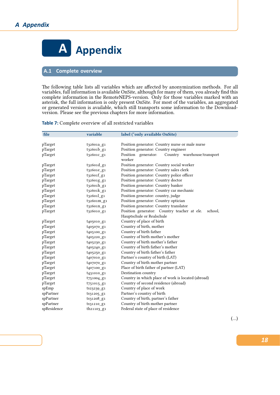

## <span id="page-19-0"></span>**A.1 Complete overview**

The following table lists all variables which are affected by anonymization methods. For all variables, full information is available OnSite, although for many of them, you already find this complete information in the RemoteNEPS-version. Only for those variables marked with an asterisk, the full information is only present OnSite. For most of the variables, an aggregated or generated version is available, which still transports some information to the Downloadversion. Please see the previous chapters for more information.

**Table 7:** Complete overview of all restricted variables

| file        | variable                | label (*only available OnSite)                               |
|-------------|-------------------------|--------------------------------------------------------------|
|             |                         |                                                              |
| pTarget     | t32601a_g1              | Position generator: Country nurse or male nurse              |
| pTarget     | t32601b_g1              | Position generator: Country engineer                         |
| pTarget     | t32601c g1              | Position generator:<br>Country warehouse/transport<br>worker |
| pTarget     | $t_3$ 2601 $d$ _g1      | Position generator: Country social worker                    |
| pTarget     | t32601e_g1              | Position generator: Country sales clerk                      |
| pTarget     | $t_32601f_g1$           | Position generator: Country police officer                   |
| pTarget     | t32601g_g1              | Position generator: Country doctor                           |
| pTarget     | t32601h_g1              | Position generator: Country banker                           |
| pTarget     | $t_3$ 2601 $k$ _g1      | Position generator: Country car mechanic                     |
| pTarget     | $t_32601$ <sup>g1</sup> | Position generator: country, judge                           |
| pTarget     | t32601m_g1              | Position generator: Country optician                         |
| pTarget     | t32601n_g1              | Position generator: Country translator                       |
| pTarget     | t326010_g1              | Position generator: Country teacher at ele.<br>school,       |
|             |                         | Hauptschule or Realschule                                    |
| pTarget     | t405010_g1              | Country of place of birth                                    |
| pTarget     | t405070_g1              | Country of birth, mother                                     |
| pTarget     | t405100_g1              | Country of birth father                                      |
| pTarget     | t <sub>405220</sub> g1  | Country of birth mother's mother                             |
| pTarget     | t405230_g1              | Country of birth mother's father                             |
| pTarget     | t405240_g1              | Country of birth father's mother                             |
| $pTarget$   | t405250_g1              | Country of birth father's father                             |
| pTarget     | t407010_g1              | Partner's country of birth (LAT)                             |
| pTarget     | t407070_g1              | Country of birth mother partner                              |
| pTarget     | t407100_g1              | Place of birth father of partner (LAT)                       |
| pTarget     | t431010_g1              | Destination country                                          |
| pTarget     | t751004_g1              | Country in which place of work is located (abroad)           |
| pTarget     | t751015_g1              | Country of second residence (abroad)                         |
| spEmp       | ts23239_g1              | Country of place of work                                     |
| spPartner   | $ts31205_g1$            | Partner's country of birth                                   |
| spPartner   | ts31208_g1              | Country of birth, partner's father                           |
| spPartner   | ts31210_g1              | Country of birth mother partner                              |
| spResidence | th21103_g1              | Federal state of place of residence                          |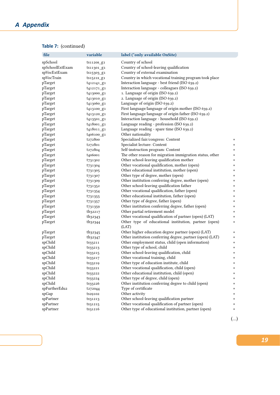## *A Appendix*

| Table 7: (continued) |  |  |
|----------------------|--|--|
|----------------------|--|--|

| file               | variable                       | label (*only available OnSite)                                                                 |        |
|--------------------|--------------------------------|------------------------------------------------------------------------------------------------|--------|
| spSchool           | ts1120s_g1                     | Country of school                                                                              |        |
| spSchoolExtExam    | ts11301_g1                     | Country of school-leaving qualification                                                        |        |
| spVocExtExam       | ts15303_g1                     | Country of external examination                                                                |        |
| spVocTrain         | ts1521s_g1                     | Country in which vocational training program took place                                        |        |
| pTarget            | t412141_g1                     | Interaction language - best friend (ISO 639.2)                                                 |        |
| pTarget            | t412171_g1                     | Interaction language - colleagues (ISO 639.2)                                                  |        |
| pTarget            | t413000_g1                     | 1. Language of origin (ISO 639.2)                                                              |        |
| pTarget            | t413010_g1                     | 2. Language of origin (ISO 639.2)                                                              |        |
| pTarget            | t413060_g1                     | Language of origin (ISO 639.2)                                                                 |        |
| pTarget            | t413100_g1                     | First language/language of origin mother (ISO 639.2)                                           |        |
| pTarget            | t413120_g1                     | First language/language of origin father (ISO 639.2)                                           |        |
| pTarget            | t413501_g1                     | Interaction language - household (ISO 639.2)                                                   |        |
| pTarget            | t418001_g1                     | Language reading - profession (ISO 639.2)                                                      |        |
| pTarget            | t418011_g1                     | Language reading - spare time (ISO 639.2)                                                      |        |
| pTarget            | t406100_g1                     | Other nationality                                                                              |        |
| pTarget            | t272800                        | Specialized fair/congress: Content                                                             | *      |
| pTarget            | t272801                        | Specialist lecture: Content                                                                    | *      |
| pTarget            | t272804                        | Self-instruction program: Content                                                              | *      |
| pTarget            | t406001                        | The other reason for migration immigration status, other                                       | *      |
| pTarget            | t731302                        | Other school-leaving qualification mother                                                      | *      |
| pTarget            | t731304                        | Other vocational qualification, mother (open)                                                  | *      |
| pTarget            | t731305                        | Other educational institution, mother (open)                                                   | *      |
| pTarget            | t731307                        | Other type of degree, mother (open)                                                            | *      |
| pTarget            | t731309                        | Other institution conferring degree, mother (open)                                             | *      |
| pTarget            | t731352                        | Other school-leaving qualification father                                                      | *      |
| pTarget            | t731354                        | Other vocational qualification, father (open)                                                  | *      |
| pTarget            | t <sub>731355</sub>            | Other educational institution, father (open)                                                   | *      |
| $\mathbf{pTarget}$ | t731357                        | Other type of degree, father (open)                                                            | *      |
| pTarget            | t731359                        | Other institution conferring degree, father (open)                                             | *      |
| pTarget            | th <sub>32217</sub>            | Other partial retirement model                                                                 | *      |
| pTarget            | th <sub>32343</sub>            | Other vocational qualification of partner (open) (LAT)                                         | *      |
| pTarget            | th <sub>32344</sub>            | Other type of educational institution, partner (open)                                          | *      |
|                    |                                | (LAT)<br>Other higher education degree partner (open) (LAT)                                    |        |
| pTarget            | th32345                        | Other institution conferring degree, partner (open) (LAT)                                      | *      |
| pTarget<br>spChild | th <sub>32347</sub><br>ts33211 | Other employment status, child (open information)                                              | *      |
| spChild            |                                | Other type of school, child                                                                    | *      |
| spChild            | ts33213                        | Other school-leaving qualification, child                                                      | *      |
| spChild            | ts33215                        |                                                                                                | *      |
| spChild            | ts33217                        | Other vocational training, child<br>Other type of education institute, child                   | $\ast$ |
| spChild            | ts33219                        | Other vocational qualification, child (open)                                                   | *<br>* |
|                    | ts33221                        |                                                                                                |        |
| spChild            | ts33222                        | Other educational institution, child (open)                                                    |        |
| spChild            | ts33224                        | Other type of degree, child (open)<br>Other institution conferring degree to child (open)      | *      |
| spChild            | ts33226                        |                                                                                                | *      |
| spFurtherEdu2      | t272044                        | Type of certificate                                                                            | *      |
| spGap              | ts29102                        | Other activity                                                                                 | *      |
| spPartner          | ts31213                        | Other school-leaving qualification partner<br>Other vocational qualification of partner (open) | ∗      |
| spPartner          | ts31215                        |                                                                                                | *      |
| spPartner          | ts31216                        | Other type of educational institution, partner (open)                                          | *      |

*19*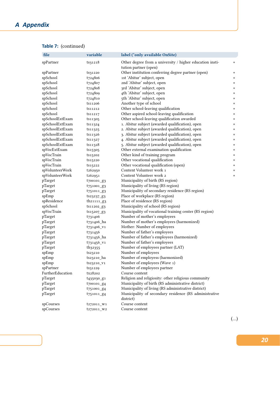## *A Appendix*

| file             | variable               | label (*only available OnSite)                                                    |   |
|------------------|------------------------|-----------------------------------------------------------------------------------|---|
| spPartner        | ts31218                | Other degree from a university / higher education insti-<br>tution partner (open) | * |
| spPartner        | ts31220                | Other institution conferring degree partner (open)                                | * |
| spSchool         | t724806                | 1st 'Abitur' subject, open                                                        | * |
| spSchool         | t724807                | 2nd 'Abitur' subject, open                                                        | * |
| spSchool         | t724808                | 3rd 'Abitur' subject, open                                                        | * |
| spSchool         | t724809                | 4th 'Abitur' subject, open                                                        | * |
| spSchool         | t724810                | 5th 'Abitur' subject, open                                                        | * |
| spSchool         | ts11206                | Another type of school                                                            | * |
| spSchool         | ts11212                | Other school-leaving qualification                                                | * |
| spSchool         | ts11217                | Other aspired school-leaving qualification                                        | * |
| spSchoolExtExam  | ts11305                | Other school-leaving qualification awarded                                        | * |
| spSchoolExtExam  | ts11324                | 1. Abitur subject (awarded qualification), open                                   | * |
| spSchoolExtExam  | ts11325                | 2. Abitur subject (awarded qualification), open                                   | * |
| spSchoolExtExam  | ts11326                | 3. Abitur subject (awarded qualification), open                                   | * |
| spSchoolExtExam  | ts11327                | 4. Abitur subject (awarded qualification), open                                   | * |
| spSchoolExtExam  |                        | 5. Abitur subject (awarded qualification), open                                   |   |
|                  | ts11328                | Other external examination qualification                                          | * |
| spVocExtExam     | ts15305                |                                                                                   | * |
| spVocTrain       | ts15202                | Other kind of training program                                                    | * |
| spVocTrain       | ts15220                | Other vocational qualification                                                    | * |
| spVocTrain       | ts15222                | Other vocational qualification (open)                                             | * |
| spVolunteerWork  | t262950                | Content Volunteer work 1                                                          | * |
| spVolunteerWork  | t262951                | Content Volunteer work 2                                                          | * |
| pTarget          | t700101_g3             | Municipality of birth (RS region)                                                 |   |
| pTarget          | t751001_g3             | Municipality of living (RS region)                                                |   |
| pTarget          | t751011_g3             | Municipality of secondary residence (RS region)                                   |   |
| spEmp            | ts23237_g3             | Place of workplace (RS region)                                                    |   |
| spResidence      | th <sub>21111_g3</sub> | Place of residence (RS region)                                                    |   |
| spSchool         | ts11202_g3             | Municipality of school (RS region)                                                |   |
| spVocTrain       | ts15207_g3             | Municipality of vocational training center (RS region)                            |   |
| pTarget          | t731406                | Number of mother's employees                                                      |   |
| pTarget          | t731406_ha             | Number of mother's employees (harmonized)                                         |   |
| pTarget          | t731406_v1             | Mother: Number of employees                                                       |   |
| pTarget          | t731456                | Number of father's employees                                                      |   |
| pTarget          | t731456_ha             | Number of father's employees (harmonized)                                         |   |
| pTarget          | t731456_v1             | Number of father's employees                                                      |   |
| pTarget          | th32355                | Number of employees partner (LAT)                                                 |   |
| spEmp            | ts23210                | Number of employees                                                               |   |
| spEmp            | ts23210_ha             | Number of employess (harmonized)                                                  |   |
| spEmp            | ts23210_V1             | Number of employees (Wave 1)                                                      |   |
| spPartner        | ts31229                | Number of employees partner                                                       |   |
| FurtherEducation | tx28202                | Course content                                                                    |   |
| pTarget          | t <sub>435030</sub> g1 | Religion and religiosity: other religious community                               |   |
| pTarget          | t700101_g4             | Municipality of birth (RS administrative district)                                |   |
| pTarget          | $t751001_g4$           | Municipality of living (RS administrative district)                               |   |
| pTarget          | $t_{751011}$ $g_4$     | Municipality of secondary residence (RS administrative<br>district)               |   |
| spCourses        | t272011_W1             | Course content                                                                    |   |
| spCourses        | t272011_W2             | Course content                                                                    |   |
|                  |                        |                                                                                   |   |

## **Table 7:** (continued)

(…)

*20*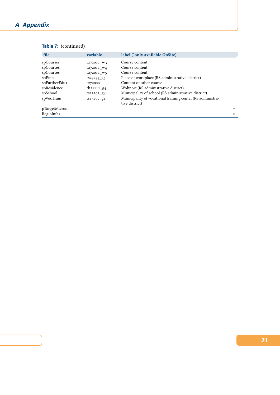## *A Appendix*

| file          | variable                  | label (*only available OnSite)                                               |        |
|---------------|---------------------------|------------------------------------------------------------------------------|--------|
| spCourses     | t272011 W3                | Course content                                                               |        |
| spCourses     | t272011 W4                | Course content                                                               |        |
| spCourses     | t272011 W5                | Course content                                                               |        |
| spEmp         | $ts23237_R4$              | Place of workplace (RS administrative district)                              |        |
| spFurtherEdu1 | t <sub>272000</sub>       | Content of other course                                                      |        |
| spResidence   | th <sub>21111</sub> $g_4$ | Wohnort (RS administrative district)                                         |        |
| spSchool      | ts11202_g4                | Municipality of school (RS administrative district)                          |        |
| spVocTrain    | $ts15207 - 84$            | Municipality of vocational training center (RS administra-<br>tive district) |        |
| pTargetMicrom |                           |                                                                              | *      |
| RegioInfas    |                           |                                                                              | $\ast$ |

## **Table 7:** (continued)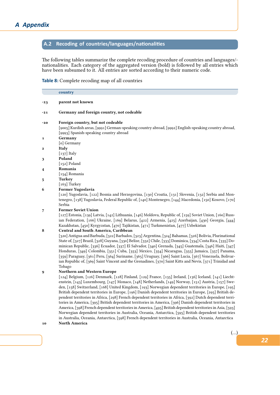## <span id="page-23-0"></span>A.2 Recoding of countries/languages/nationalities

The following tables summarize the complete recoding procedure of countries and languages/ nationalities. Each category of the aggregated version (bold) is followed by all entries which have been subsumed to it. All entries are sorted according to their numeric code.

## **Table 8:** Complete recoding map of all countries

|       | country                                                                                                                                                                                                                                                                                                                                                                                                                                                                                                                                                                                                                                                                                                                                                                                                                                                                                                                                                                                                                      |
|-------|------------------------------------------------------------------------------------------------------------------------------------------------------------------------------------------------------------------------------------------------------------------------------------------------------------------------------------------------------------------------------------------------------------------------------------------------------------------------------------------------------------------------------------------------------------------------------------------------------------------------------------------------------------------------------------------------------------------------------------------------------------------------------------------------------------------------------------------------------------------------------------------------------------------------------------------------------------------------------------------------------------------------------|
| $-23$ | parent not known                                                                                                                                                                                                                                                                                                                                                                                                                                                                                                                                                                                                                                                                                                                                                                                                                                                                                                                                                                                                             |
| -21   | Germany and foreign country, not codeable                                                                                                                                                                                                                                                                                                                                                                                                                                                                                                                                                                                                                                                                                                                                                                                                                                                                                                                                                                                    |
| -20   | Foreign country, but not codeable<br>[9005] Kurdish areas, [9991] German-speaking country abroad, [9992] English-speaking country abroad,<br>[9993] Spanish-speaking country abroad                                                                                                                                                                                                                                                                                                                                                                                                                                                                                                                                                                                                                                                                                                                                                                                                                                          |
| 1     | Germany<br>[o] Germany                                                                                                                                                                                                                                                                                                                                                                                                                                                                                                                                                                                                                                                                                                                                                                                                                                                                                                                                                                                                       |
| 2     | Italy<br>$\lceil 137 \rceil$ Italy                                                                                                                                                                                                                                                                                                                                                                                                                                                                                                                                                                                                                                                                                                                                                                                                                                                                                                                                                                                           |
| 3     | Poland<br>[152] Poland                                                                                                                                                                                                                                                                                                                                                                                                                                                                                                                                                                                                                                                                                                                                                                                                                                                                                                                                                                                                       |
| 4     | Romania<br>[154] Romania                                                                                                                                                                                                                                                                                                                                                                                                                                                                                                                                                                                                                                                                                                                                                                                                                                                                                                                                                                                                     |
| 5     | <b>Turkey</b><br>$[163]$ Turkey                                                                                                                                                                                                                                                                                                                                                                                                                                                                                                                                                                                                                                                                                                                                                                                                                                                                                                                                                                                              |
| 6     | Former Yugoslavia<br>[120] Yugoslavia, [122] Bosnia and Herzegovina, [130] Croatia, [131] Slovenia, [132] Serbia and Mon-<br>tenegro, [138] Yugoslavia, Federal Republic of, [140] Montenegro, [144] Macedonia, [150] Kosovo, [170]<br>Serbia                                                                                                                                                                                                                                                                                                                                                                                                                                                                                                                                                                                                                                                                                                                                                                                |
| 7     | <b>Former Soviet Union</b><br>[127] Estonia, [139] Latvia, [142] Lithuania, [146] Moldova, Republic of, [159] Soviet Union, [160] Russ-<br>ian Federation, [166] Ukraine, [169] Belarus, [422] Armenia, [425] Azerbaijan, [430] Georgia, [444]<br>Kazakhstan, [450] Kyrgyzstan, [470] Tajikistan, [471] Turkmenistan, [477] Uzbekistan                                                                                                                                                                                                                                                                                                                                                                                                                                                                                                                                                                                                                                                                                       |
| 8     | Central and South America, Caribbean<br>[320] Antigua and Barbuda, [322] Barbados, [323] Argentina, [324] Bahamas, [326] Bolivia, Plurinational<br>State of, [327] Brazil, [328] Guyana, [330] Belize, [332] Chile, [333] Dominica, [334] Costa Rica, [335] Do-<br>minican Republic, [336] Ecuador, [337] El Salvador, [340] Grenada, [345] Guatemala, [346] Haiti, [347]<br>Honduras, [349] Colombia, [351] Cuba, [353] Mexico, [354] Nicaragua, [355] Jamaica, [357] Panama,<br>[359] Paraguay, [361] Peru, [364] Suriname, [365] Uruguay, [366] Saint Lucia, [367] Venezuela, Bolivar-<br>ian Republic of, [369] Saint Vincent and the Grenadines, [370] Saint Kitts and Nevis, [371] Trinidad and<br>Tobago                                                                                                                                                                                                                                                                                                              |
| 9     | Northern and Western Europe<br>[124] Belgium, [126] Denmark, [128] Finland, [129] France, [135] Ireland, [136] Iceland, [141] Liecht-<br>enstein, [143] Luxembourg, [147] Monaco, [148] Netherlands, [149] Norway, [151] Austria, [157] Swe-<br>den, [158] Switzerland, [168] United Kingdom, [193] Norwegian dependent territories in Europe, [195]<br>British dependent territories in Europe, [196] Danish dependent territories in Europe, [295] British de-<br>pendent territories in Africa, [298] French dependent territories in Africa, [392] Dutch dependent terri-<br>tories in America, [395] British dependent territories in America, [396] Danish dependent territories in<br>America, [398] French dependent territories in America, [495] British dependent territories in Asia, [593]<br>Norwegian dependent territories in Australia, Oceania, Antarctica, [595] British dependent territories<br>in Australia, Oceania, Antarctica, [598] French dependent territories in Australia, Oceania, Antarctica |

## **10 North America**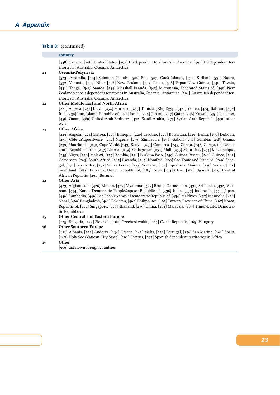## **Table 8:** (continued)

### **country**

[348] Canada, [368] United States, [391] US dependent territories in America, [591] US dependent territories in Australia, Oceania, Antarctica

### **11 Oceania/Polynesia**

[523] Australia, [524] Solomon Islands, [526] Fiji, [527] Cook Islands, [530] Kiribati, [531] Nauru, [532] Vanuatu, [533] Niue, [536] New Zealand, [537] Palau, [538] Papua New Guinea, [540] Tuvalu, [541] Tonga, [543] Samoa, [544] Marshall Islands, [545] Micronesia, Federated States of, [590] New Zealand's dependent territories in Australia, Oceania, Antarctica, [594] Australian dependent territories in Australia, Oceania, Antarctica

### **12 Other Middle East and North Africa**

[221] Algeria, [248] Libya, [252] Morocco, [285] Tunisia, [287] Egypt, [421] Yemen, [424] Bahrain, [438] Iraq, [439] Iran, Islamic Republic of, [441] Israel, [445] Jordan, [447] Qatar, [448] Kuwait, [451] Lebanon, [456] Oman, [469] United Arab Emirates, [472] Saudi Arabia, [475] Syrian Arab Republic, [499] other Asia

### **13 Other Africa**

[223] Angola, [224] Eritrea, [225] Ethiopia, [226] Lesotho, [227] Botswana, [229] Benin, [230] Djibouti, [231] Côte d'Ivoire, [232] Nigeria, [233] Zimbabwe, [236] Gabon, [237] Gambia, [238] Ghana, [239] Mauritania, [242] Cape Verde, [243] Kenya, [244] Comoros, [245] Congo, [246] Congo, the Democratic Republic of the, [247] Liberia, [249] Madagascar, [251] Mali, [253] Mauritius, [254] Mozambique, [255] Niger, [256] Malawi, [257] Zambia, [258] Burkina Faso, [259] Guinea-Bissau, [261] Guinea, [262] Cameroon, [263] South Africa, [265] Rwanda, [267] Namibia, [268] Sao Tome and Principe, [269] Senegal, [271] Seychelles, [272] Sierra Leone, [273] Somalia, [274] Equatorial Guinea, [276] Sudan, [281] Swaziland, [282] Tanzania, United Republic of, [283] Togo, [284] Chad, [286] Uganda, [289] Central African Republic, [291] Burundi

### **14 Other Asia**

[423] Afghanistan, [426] Bhutan, [427] Myanmar, [429] Brunei Darussalam, [431] Sri Lanka, [432] Vietnam, [434] Korea, Democratic People' Republic of, [436] India, [437] Indonesia, [442] Japan, [446] Cambodia, [449] Lao People' Democratic Republic of, [454] Maldives, [457] Mongolia, [458] Nepal, [460] Bangladesh, [461] Pakistan, [462] Philippines, [465] Taiwan, Province of China, [467] Korea, Republic of, [474] Singapore, [476] Thailand, [479] China, [482] Malaysia, [483] Timor-Leste, Democratic Republic of

### **15 Other Central and Eastern Europe**

[125] Bulgaria, [155] Slovakia, [162] Czechoslovakia, [164] Czech Republic, [165] Hungary

## **16 Other Southern Europe**

[121] Albania, [123] Andorra, [134] Greece, [145] Malta, [153] Portugal, [156] San Marino, [161] Spain, [167] Holy See (Vatican City State), [181] Cyprus, [297] Spanish dependent territories in Africa

## **17 Other**

[996] unknown foreign countries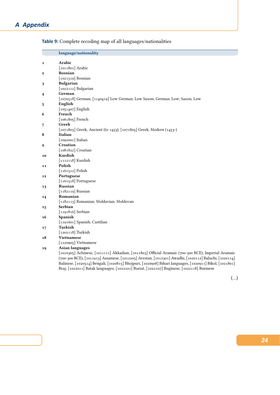|                | language/nationality                                                                                    |
|----------------|---------------------------------------------------------------------------------------------------------|
| $\mathbf{1}$   | Arabic                                                                                                  |
|                | [1011801] Arabic                                                                                        |
| $\mathbf{2}$   | <b>Bosnian</b>                                                                                          |
|                | $[1021519]$ Bosnian                                                                                     |
| 3              | <b>Bulgarian</b>                                                                                        |
|                | [1022112] Bulgarian                                                                                     |
| $\overline{4}$ | German                                                                                                  |
|                | [1070518] German, [1140419] Low German; Low Saxon; German, Low; Saxon, Low                              |
| 5              | English                                                                                                 |
|                | $[1051407]$ English                                                                                     |
| 6              | French                                                                                                  |
|                | $[1061805]$ French                                                                                      |
| 7              | Greek                                                                                                   |
|                | [1071803] Greek, Ancient (to 1453), [1071805] Greek, Modern (1453-)                                     |
| 8              | Italian                                                                                                 |
|                | $[1092001]$ Italian                                                                                     |
| 9              | Croatian                                                                                                |
|                | [1081822] Croatian                                                                                      |
| 10             | Kurdish                                                                                                 |
|                | $[1112118]$ Kurdish                                                                                     |
| 11             | Polish                                                                                                  |
|                | $[1161512]$ Polish                                                                                      |
| 12             | Portuguese                                                                                              |
|                | [1161518] Portuguese                                                                                    |
| 13             | <b>Russian</b>                                                                                          |
|                | $[1182119]$ Russian                                                                                     |
| 14             | Romanian                                                                                                |
|                | [1182113] Romanian; Moldavian; Moldovan                                                                 |
| 15             | Serbian                                                                                                 |
|                | $[1191816]$ Serbian                                                                                     |
| 16             | Spanish                                                                                                 |
|                | [1191601] Spanish; Castilian                                                                            |
| 17             | Turkish                                                                                                 |
|                | $[1202118]$ Turkish                                                                                     |
| 18             | <b>Vietnamese</b>                                                                                       |
|                | [1220905] Vietnamese                                                                                    |
| 19             | <b>Asian languages</b>                                                                                  |
|                | [1010305] Achinese, [1011111] Akkadian, [1011803] Official Aramaic (700-300 BCE); Imperial Aramaic      |
|                | (700-300 BCE), [1011913] Assamese, [1012205] Avestan, [1012301] Awadhi, [1020112] Baluchi, [1020114]    |
|                | Balinese, [1020514] Bengali, [1020815] Bhojpuri, [1020908] Bihari languages, [1020911] Bikol, [1021801] |

Braj, [1022011] Batak languages, [1022101] Buriat, [1022107] Buginese, [1022118] Burmese

**Table 9:** Complete recoding map of all languages/nationalities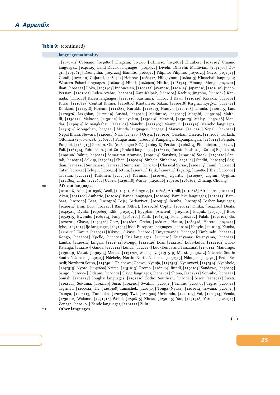## **Table 9:** (continued)

### **language/nationality**

, [1030502] Cebuano, [1030807] Chagatai, [1030809] Chinese, [1030811] Chuukese, [1031303] Chamic languages, [1040125] Land Dayak languages, [1040922] Divehi; Dhivehi; Maldivian, [1041509] Dogri, [1042615] Dzongkha, [1051224] Elamite, [1060912] Filipino; Pilipino, [1070125] Gayo, [1071514] Gondi, [1072110] Gujarati, [1080502] Hebrew, [1080912] Hiligaynon, [1080913] Himachali languages; Western Pahari languages, [1080914] Hindi, [1080920] Hittite, [1081314] Hmong; Mong, [1090201] Iban, [1091215] Iloko, [1091404] Indonesian, [1100122] Javanese, [1101614] Japanese, [1101618] Judeo-Persian, [1101802] Judeo-Arabic, [1110101] Kara-Kalpak, [1110103] Kachin; Jingpho, [1110114] Kannada, [1110118] Karen languages, [1110119] Kashmiri, [1110123] Kawi, [1110126] Kazakh, [1110801] Khasi, [1110813] Central Khmer, [1110815] Khotanese; Sakan, [1110918] Kirghiz; Kyrgyz, [1111511] Konkani, [1111518] Korean, [1111821] Kurukh, [1112113] Kumyk, [1120108] Lahnda, [1120115] Lao, [1120526] Lezghian, [1122119] Lushai, [1130104] Madurese, [1130107] Magahi, [1130109] Maithili, [1130111] Makasar, [1130112] Malayalam, [1130118] Marathi, [1130125] Malay, [1130418] Mandar, [1130914] Minangkabau, [1131403] Manchu, [1131409] Manipuri, [1131415] Manobo languages, [1131514] Mongolian, [1132114] Munda languages, [1132318] Marwari, [1140516] Nepali, [1140523] Nepal Bhasa; Newari, [1140901] Nias, [1151809] Oriya, [1151919] Ossetian; Ossetic, [1152001] Turkish, Ottoman (1500-1928), [1160107] Pangasinan, [1160113] Pampanga; Kapampangan, [1160114] Panjabi; Punjabi, [1160515] Persian, Old (ca.600-400 B.C.), [1160518] Persian, [1160814] Phoenician, [1161209] Pali, [1161514] Pohnpeian, [1161801] Prakrit languages, [1162119] Pushto; Pashto, [1180110] Rajasthani, [1190108] Yakut, [1190113] Samaritan Aramaic, [1190114] Sanskrit, [1190119] Sasak, [1190120] Santali, [1190512] Selkup, [1190814] Shan, [1190914] Sinhala; Sinhalese, [1191404] Sindhi, [1191507] Sogdian, [1192114] Sundanese, [1192124] Sumerian, [1192503] Classical Syriac, [1200113] Tamil, [1200120] Tatar, [1200512] Telugu, [1200520] Tetum, [1200711] Tajik, [1200712] Tagalog, [1200801] Thai, [1200902] Tibetan, [1202111] Turkmen, [1202522] Tuvinian, [1210701] Ugaritic, [1210907] Uighur; Uyghur, [1211804] Urdu, [1212602] Uzbek, [1230118] Waray, [1250116] Yapese, [1260801] Zhuang; Chuang

### **20 African languages**

[1010118] Afar, [1010308] Acoli, [1010401] Adangme, [1010608] Afrihili, [1010618] Afrikaans, [1011101] Akan, [1011308] Amharic, [1020104] Banda languages, [1020109] Bamileke languages, [1020113] Bambara, [1020119] Basa, [1020510] Beja; Bedawiyet, [1020513] Bemba, [1020518] Berber languages, [1020914] Bini; Edo, [1021420] Bantu (Other), [1031516] Coptic, [1040914] Dinka, [1042101] Duala, [1042521] Dyula, [1050609] Efik, [1050725] Egyptian (Ancient), [1051101] Ekajuk, [1052305] Ewe, [1052315] Ewondo, [1060114] Fang, [1060120] Fanti, [1061514] Fon, [1062112] Fulah, [1070101] Ga, [1070201] Gbaya, [1070526] Geez, [1071802] Grebo, [1080121] Hausa, [1080518] Herero, [1090215] Igbo, [1091015] Ijo languages, [1091405] Indo-European languages, [1110102] Kabyle, [1110113] Kamba, [1110121] Kanuri, [1110911] Kikuyu; Gikuyu, [1110914] Kinyarwanda, [1111302] Kimbundu, [1111514] Kongo, [1111605] Kpelle, [1111815] Kru languages, [1112101] Kuanyama; Kwanyama, [1120113] Lamba, [1120914] Lingala, [1121512] Mongo, [1121526] Lozi, [1122101] Luba-Lulua, [1122102] Luba-Katanga, [1122107] Ganda, [1122114] Lunda, [1122115] Luo (Kenya and Tanzania), [1130114] Mandingo, [1130119] Masai, [1130514] Mende, [1131207] Malagasy, [1131519] Mossi, [1140212] Ndebele, South; South Ndebele, [1140405] Ndebele, North; North Ndebele, [1140415] Ndonga, [1141915] Pedi; Sepedi; Northern Sotho, [1142501] Chichewa; Chewa; Nyanja, [1142513] Nyamwezi, [1142514] Nyankole, [1142515] Nyoro, [1142609] Nzima, [1151813] Oromo, [1182114] Rundi, [1190104] Sandawe, [1190107] Sango, [1190904] Sidamo, [1191201] Slavic languages, [1191401] Shona, [1191411] Soninke, [1191513] Somali, [1191514] Songhai languages, [1191520] Sotho, Southern, [1191818] Serer, [1191923] Swati, [1192111] Sukuma, [1192119] Susu, [1192301] Swahili, [1200513] Timne, [1200907] Tigre, [1200918] Tigrinya, [1200922] Tiv, [1201308] Tamashek, [1201507] Tonga (Nyasa), [1201914] Tswana, [1201915] Tsonga, [1202113] Tumbuka, [1202309] Twi, [1211302] Umbundu, [1220109] Vai, [1220514] Venda, [1230112] Walamo, [1231512] Wolof, [1240815] Xhosa, [1250115] Yao, [1251518] Yoruba, [1260514] Zenaga, [1261404] Zande languages, [1262112] Zulu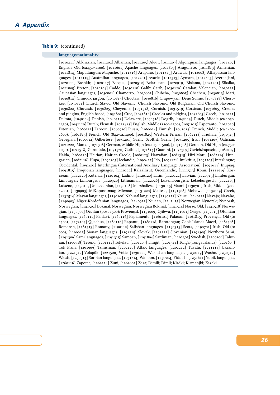## **Table 9:** (continued)

### **language/nationality**

[1010211] Abkhazian, [1011202] Albanian, [1011205] Aleut, [1011207] Algonquian languages, [1011407] English, Old (ca.450-1100), [1011601] Apache languages, [1011807] Aragonese, [1011813] Armenian, [1011814] Mapudungun; Mapuche, [1011816] Arapaho, [1011823] Arawak, [1012008] Athapascan languages, [1012119] Australian languages, [1012201] Avaric, [1012513] Aymara, [1012605] Azerbaijani, [1020111] Bashkir, [1020117] Basque, [1020512] Belarusian, [1020919] Bislama, [1021201] Siksika, [1021805] Breton, [1030104] Caddo, [1030118] Galibi Carib, [1030120] Catalan; Valencian, [1030121] Caucasian languages, [1030801] Chamorro, [1030802] Chibcha, [1030805] Chechen, [1030813] Mari, [1030814] Chinook jargon, [1030815] Choctaw, [1030816] Chipewyan; Dene Suline, [1030818] Cherokee, [1030821] Church Slavic; Old Slavonic; Church Slavonic; Old Bulgarian; Old Church Slavonic, [1030822] Chuvash, [1030825] Cheyenne, [1031518] Cornish, [1031519] Corsican, [1031605] Creoles and pidgins, English based, [1031805] Cree, [1031816] Creoles and pidgins, [1032605] Czech, [1040111] Dakota, [1040114] Danish, [1040512] Delaware, [1040718] Dogrib, [1042113] Dutch, Middle (ca.1050- 1350), [1042120] Dutch; Flemish, [1051413] English, Middle (1100-1500), [1051615] Esperanto, [1051920] Estonian, [1060115] Faroese, [1060910] Fijian, [1060914] Finnish, [1061813] French, Middle (ca.1400- 1600), [1061815] French, Old (842-ca.1400), [1061825] Western Frisian, [1062118] Friulian, [1070515] Georgian, [1070912] Gilbertese, [1071201] Gaelic; Scottish Gaelic, [1071205] Irish, [1071207] Galician, [1071222] Manx, [1071308] German, Middle High (ca.1050-1500), [1071508] German, Old High (ca.750- 1050), [1071518] Gorontalo, [1071520] Gothic, [1071814] Guarani, [1072309] Gwich'in, [1080109] Haida, [1080120] Haitian; Haitian Creole, [1080123] Hawaiian, [1081315] Hiri Motu, [1082114] Hungarian, [1082116] Hupa, [1090305] Icelandic, [1090415] Ido, [1091121] Inuktitut, [1091205] Interlingue; Occidental, [1091401] Interlingua (International Auxiliary Language Association), [1091611] Inupiaq, [1091815] Iroquoian languages, [1110112] Kalaallisut; Greenlandic, [1111513] Komi, [1111519] Kosraean, [1112120] Kutenai, [1120104] Ladino, [1120120] Latin, [1120122] Latvian, [1120913] Limburgan; Limburger; Limburgish, [1120920] Lithuanian, [1122026] Luxembourgish; Letzeburgesch, [1122109] Luiseno, [1130103] Macedonian, [1130108] Marshallese, [1130115] Maori, [1130701] Irish, Middle (900- 1200), [1130903] Mi'kmaq; Micmac, [1131220] Maltese, [1131508] Mohawk, [1132119] Creek, [1132514] Mayan languages, [1140108] Nahuatl languages, [1140121] Nauru, [1140122] Navajo; Navaho, [1140903] Niger-Kordofanian languages, [1140921] Niuean, [1141415] Norwegian Nynorsk; Nynorsk, Norwegian, [1141502] Bokmål, Norwegian; Norwegian Bokmål, [1141514] Norse, Old, [1141518] Norwegian, [1150309] Occitan (post 1500); Provençal, [1151009] Ojibwa, [1151901] Osage, [1152015] Otomian languages, [1160112] Pahlavi, [1160116] Papiamento, [1160121] Palauan, [1161815] Provençal, Old (to 1500), [1172105] Quechua, [1180116] Rapanui, [1180118] Rarotongan; Cook Islands Maori, [1181508] Romansh, [1181513] Romany, [1190112] Salishan languages, [1190315] Scots, [1190701] Irish, Old (to 900), [1190915] Siouan languages, [1191215] Slovak, [1191222] Slovenian, [1191305] Northern Sami, [1191309] Sami languages, [1191315] Samoan, [1191804] Sardinian, [1192305] Swedish, [1200108] Tahitian, [1200518] Tereno, [1201112] Tokelau, [1201209] Tlingit, [1201514] Tonga (Tonga Islands), [1201609] Tok Pisin, [1201909] Tsimshian, [1202120] Altaic languages, [1202212] Tuvalu, [1211118] Ukrainian, [1221512] Volapük, [1221520] Votic, [1230111] Wakashan languages, [1230119] Washo, [1230512] Welsh, [1230514] Sorbian languages, [1231214] Walloon, [1250904] Yiddish, [1251611] Yupik languages, [1260116] Zapotec, [1262114] Zuni, [1262601] Zaza; Dimili; Dimli; Kirdki; Kirmanjki; Zazaki